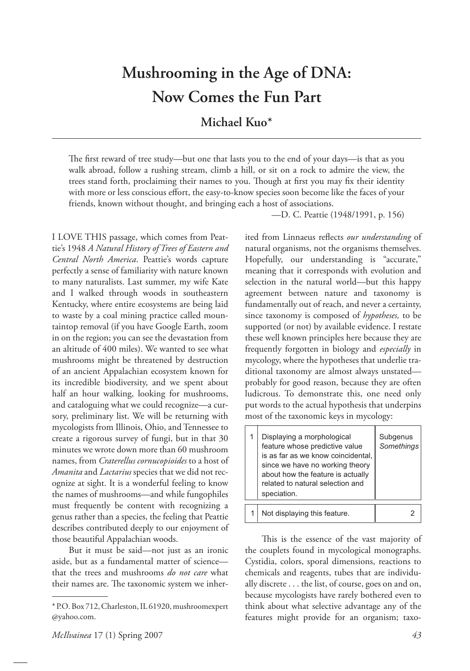## **Mushrooming in the Age of DNA: Now Comes the Fun Part**

## **Michael Kuo\***

The first reward of tree study—but one that lasts you to the end of your days—is that as you walk abroad, follow a rushing stream, climb a hill, or sit on a rock to admire the view, the trees stand forth, proclaiming their names to you. Though at first you may fix their identity with more or less conscious effort, the easy-to-know species soon become like the faces of your friends, known without thought, and bringing each a host of associations.

I LOVE THIS passage, which comes from Peattie's 1948 *A Natural History of Trees of Eastern and Central North America*. Peattie's words capture perfectly a sense of familiarity with nature known to many naturalists. Last summer, my wife Kate and I walked through woods in southeastern Kentucky, where entire ecosystems are being laid to waste by a coal mining practice called mountaintop removal (if you have Google Earth, zoom in on the region; you can see the devastation from an altitude of 400 miles). We wanted to see what mushrooms might be threatened by destruction of an ancient Appalachian ecosystem known for its incredible biodiversity, and we spent about half an hour walking, looking for mushrooms, and cataloguing what we could recognize—a cursory, preliminary list. We will be returning with mycologists from Illinois, Ohio, and Tennessee to create a rigorous survey of fungi, but in that 30 minutes we wrote down more than 60 mushroom names, from *Craterellus cornucopioides* to a host of *Amanita* and *Lactarius* species that we did not recognize at sight. It is a wonderful feeling to know the names of mushrooms—and while fungophiles must frequently be content with recognizing a genus rather than a species, the feeling that Peattie describes contributed deeply to our enjoyment of those beautiful Appalachian woods.

 But it must be said—not just as an ironic aside, but as a fundamental matter of science that the trees and mushrooms *do not care* what their names are. The taxonomic system we inher-

*McIlvainea* 17 (1) Spring 2007 *43*

—D. C. Peattie (1948/1991, p. 156)

ited from Linnaeus reflects our understanding of natural organisms, not the organisms themselves. Hopefully, our understanding is "accurate," meaning that it corresponds with evolution and selection in the natural world—but this happy agreement between nature and taxonomy is fundamentally out of reach, and never a certainty, since taxonomy is composed of *hypotheses,* to be supported (or not) by available evidence. I restate these well known principles here because they are frequently forgotten in biology and *especially* in mycology, where the hypotheses that underlie traditional taxonomy are almost always unstated probably for good reason, because they are often ludicrous. To demonstrate this, one need only put words to the actual hypothesis that underpins most of the taxonomic keys in mycology:

| Displaying a morphological<br>feature whose predictive value<br>is as far as we know coincidental,<br>since we have no working theory<br>about how the feature is actually<br>related to natural selection and<br>speciation. | Subgenus<br>Somethings |
|-------------------------------------------------------------------------------------------------------------------------------------------------------------------------------------------------------------------------------|------------------------|
| Not displaying this feature.                                                                                                                                                                                                  |                        |

This is the essence of the vast majority of the couplets found in mycological monographs. Cystidia, colors, sporal dimensions, reactions to chemicals and reagents, tubes that are individually discrete . . . the list, of course, goes on and on, because mycologists have rarely bothered even to think about what selective advantage any of the features might provide for an organism; taxo-

<sup>\*</sup> P.O. Box 712, Charleston, IL 61920, mushroom expert @yahoo.com.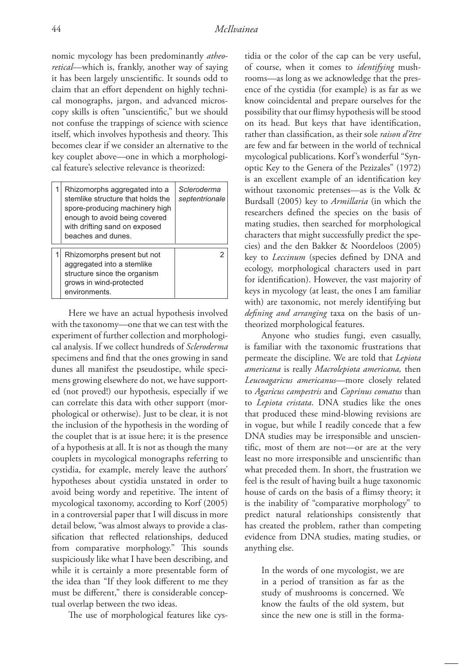nomic mycology has been predominantly *atheoretical*—which is, frankly, another way of saying it has been largely unscientific. It sounds odd to claim that an effort dependent on highly technical monographs, jargon, and advanced microscopy skills is often "unscientific," but we should not confuse the trappings of science with science itself, which involves hypothesis and theory. This becomes clear if we consider an alternative to the key couplet above—one in which a morphological feature's selective relevance is theorized:

| Rhizomorphs aggregated into a<br>stemlike structure that holds the<br>spore-producing machinery high<br>enough to avoid being covered<br>with drifting sand on exposed<br>beaches and dunes. | Scleroderma<br>septentrionale |
|----------------------------------------------------------------------------------------------------------------------------------------------------------------------------------------------|-------------------------------|
| Rhizomorphs present but not<br>aggregated into a stemlike<br>structure since the organism<br>grows in wind-protected<br>environments.                                                        |                               |

 Here we have an actual hypothesis involved with the taxonomy—one that we can test with the experiment of further collection and morphological analysis. If we collect hundreds of *Scleroderma* specimens and find that the ones growing in sand dunes all manifest the pseudostipe, while specimens growing elsewhere do not, we have supported (not proved!) our hypothesis, especially if we can correlate this data with other support (morphological or otherwise). Just to be clear, it is not the inclusion of the hypothesis in the wording of the couplet that is at issue here; it is the presence of a hypothesis at all. It is not as though the many couplets in mycological monographs referring to cystidia, for example, merely leave the authors' hypotheses about cystidia unstated in order to avoid being wordy and repetitive. The intent of mycological taxonomy, according to Korf (2005) in a controversial paper that I will discuss in more detail below, "was almost always to provide a classification that reflected relationships, deduced from comparative morphology." This sounds suspiciously like what I have been describing, and while it is certainly a more presentable form of the idea than "If they look different to me they must be different," there is considerable conceptual overlap between the two ideas.

The use of morphological features like cys-

tidia or the color of the cap can be very useful, of course, when it comes to *identifying* mushrooms—as long as we acknowledge that the presence of the cystidia (for example) is as far as we know coincidental and prepare ourselves for the possibility that our flimsy hypothesis will be stood on its head. But keys that have identification, rather than classification, as their sole *raison d'être* are few and far between in the world of technical mycological publications. Korf's wonderful "Synoptic Key to the Genera of the Pezizales" (1972) is an excellent example of an identification key without taxonomic pretenses—as is the Volk & Burdsall (2005) key to *Armillaria* (in which the researchers defined the species on the basis of mating studies, then searched for morphological characters that might successfully predict the species) and the den Bakker & Noordeloos (2005) key to *Leccinum* (species defined by DNA and ecology, morphological characters used in part for identification). However, the vast majority of keys in mycology (at least, the ones I am familiar with) are taxonomic, not merely identifying but *defining and arranging* taxa on the basis of untheorized morphological features.

 Anyone who studies fungi, even casually, is familiar with the taxonomic frustrations that permeate the discipline. We are told that *Lepiota americana* is really *Macrolepiota americana,* then *Leucoagaricus americanus*—more closely related to *Agaricus campestris* and *Coprinus comatus* than to *Lepiota cristata*. DNA studies like the ones that produced these mind-blowing revisions are in vogue, but while I readily concede that a few DNA studies may be irresponsible and unscientific, most of them are not-or are at the very least no more irresponsible and unscientific than what preceded them. In short, the frustration we feel is the result of having built a huge taxonomic house of cards on the basis of a flimsy theory; it is the inability of "comparative morphology" to predict natural relationships consistently that has created the problem, rather than competing evidence from DNA studies, mating studies, or anything else.

In the words of one mycologist, we are in a period of transition as far as the study of mushrooms is concerned. We know the faults of the old system, but since the new one is still in the forma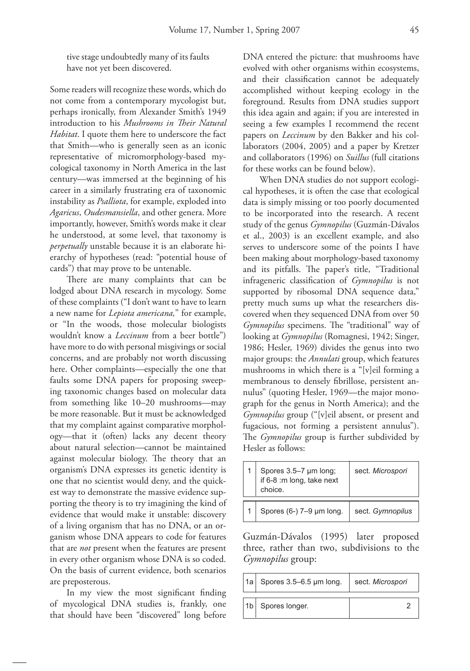tive stage undoubtedly many of its faults have not yet been discovered.

Some readers will recognize these words, which do not come from a contemporary mycologist but, perhaps ironically, from Alexander Smith's 1949 introduction to his *Mushrooms in Their Natural Habitat*. I quote them here to underscore the fact that Smith—who is generally seen as an iconic representative of micromorphology-based mycological taxonomy in North America in the last century—was immersed at the beginning of his career in a similarly frustrating era of taxonomic instability as *Psalliota*, for example, exploded into *Agaricus*, *Oudesmansiella*, and other genera. More importantly, however, Smith's words make it clear he understood, at some level, that taxonomy is *perpetually* unstable because it is an elaborate hierarchy of hypotheses (read: "potential house of cards") that may prove to be untenable.

There are many complaints that can be lodged about DNA research in mycology. Some of these complaints ("I don't want to have to learn a new name for *Lepiota americana,*" for example, or "In the woods, those molecular biologists wouldn't know a *Leccinum* from a beer bottle") have more to do with personal misgivings or social concerns, and are probably not worth discussing here. Other complaints—especially the one that faults some DNA papers for proposing sweeping taxonomic changes based on molecular data from something like 10–20 mushrooms—may be more reasonable. But it must be acknowledged that my complaint against comparative morphology—that it (often) lacks any decent theory about natural selection—cannot be maintained against molecular biology. The theory that an organism's DNA expresses its genetic identity is one that no scientist would deny, and the quickest way to demonstrate the massive evidence supporting the theory is to try imagining the kind of evidence that would make it unstable: discovery of a living organism that has no DNA, or an organism whose DNA appears to code for features that are *not* present when the features are present in every other organism whose DNA is so coded. On the basis of current evidence, both scenarios are preposterous.

In my view the most significant finding of mycological DNA studies is, frankly, one that should have been "discovered" long before DNA entered the picture: that mushrooms have evolved with other organisms within ecosystems, and their classification cannot be adequately accomplished without keeping ecology in the foreground. Results from DNA studies support this idea again and again; if you are interested in seeing a few examples I recommend the recent papers on *Leccinum* by den Bakker and his collaborators (2004, 2005) and a paper by Kretzer and collaborators (1996) on *Suillus* (full citations for these works can be found below).

 When DNA studies do not support ecological hypotheses, it is often the case that ecological data is simply missing or too poorly documented to be incorporated into the research. A recent study of the genus *Gymnopilus* (Guzmán-Dávalos et al., 2003) is an excellent example, and also serves to underscore some of the points I have been making about morphology-based taxonomy and its pitfalls. The paper's title, "Traditional infrageneric classification of *Gymnopilus* is not supported by ribosomal DNA sequence data," pretty much sums up what the researchers discovered when they sequenced DNA from over 50 *Gymnopilus* specimens. The "traditional" way of looking at *Gymnopilus* (Romagnesi, 1942; Singer, 1986; Hesler, 1969) divides the genus into two major groups: the *Annulati* group, which features mushrooms in which there is a "[v]eil forming a membranous to densely fibrillose, persistent annulus" (quoting Hesler, 1969—the major monograph for the genus in North America); and the *Gymnopilus* group ("[v]eil absent, or present and fugacious, not forming a persistent annulus"). The *Gymnopilus* group is further subdivided by Hesler as follows:

| Spores 3.5-7 µm long;<br>if 6-8 :m long, take next<br>choice. | sect. Microspori |
|---------------------------------------------------------------|------------------|
| Spores (6-) 7-9 µm long.                                      | sect. Gymnopilus |

Guzmán-Dávalos (1995) later proposed three, rather than two, subdivisions to the *Gymnopilus* group:

| $ 1a $ Spores 3.5–6.5 µm long. | sect. Microspori |
|--------------------------------|------------------|
| 1b Spores longer.              |                  |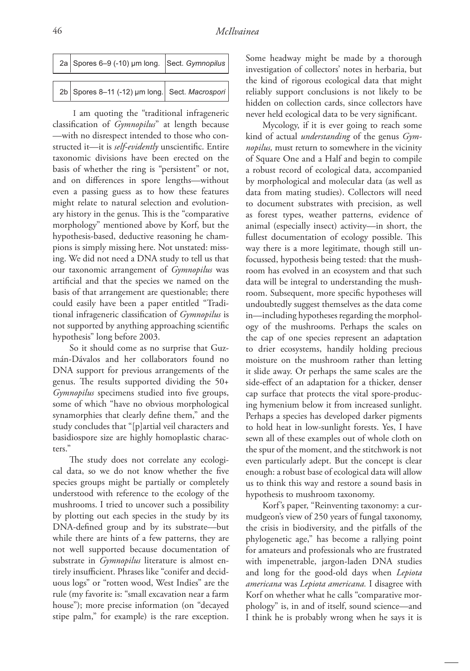| 2a Spores 6-9 (-10) µm long. Sect. Gymnopilus  |  |
|------------------------------------------------|--|
|                                                |  |
| 2b Spores 8-11 (-12) µm long. Sect. Macrospori |  |

 I am quoting the "traditional infrageneric classification of *Gymnopilus*" at length because —with no disrespect intended to those who constructed it—it is *self-evidently* unscientific. Entire taxonomic divisions have been erected on the basis of whether the ring is "persistent" or not, and on differences in spore lengths—without even a passing guess as to how these features might relate to natural selection and evolutionary history in the genus. This is the "comparative" morphology" mentioned above by Korf, but the hypothesis-based, deductive reasoning he champions is simply missing here. Not unstated: missing. We did not need a DNA study to tell us that our taxonomic arrangement of *Gymnopilus* was artificial and that the species we named on the basis of that arrangement are questionable; there could easily have been a paper entitled "Traditional infrageneric classification of *Gymnopilus* is not supported by anything approaching scientific hypothesis" long before 2003.

 So it should come as no surprise that Guzmán-Dávalos and her collaborators found no DNA support for previous arrangements of the genus. The results supported dividing the  $50+$ *Gymnopilus* specimens studied into five groups, some of which "have no obvious morphological synamorphies that clearly define them," and the study concludes that "[p]artial veil characters and basidiospore size are highly homoplastic characters."

The study does not correlate any ecological data, so we do not know whether the five species groups might be partially or completely understood with reference to the ecology of the mushrooms. I tried to uncover such a possibility by plotting out each species in the study by its DNA-defined group and by its substrate—but while there are hints of a few patterns, they are not well supported because documentation of substrate in *Gymnopilus* literature is almost entirely insufficient. Phrases like "conifer and deciduous logs" or "rotten wood, West Indies" are the rule (my favorite is: "small excavation near a farm house"); more precise information (on "decayed stipe palm," for example) is the rare exception.

Some headway might be made by a thorough investigation of collectors' notes in herbaria, but the kind of rigorous ecological data that might reliably support conclusions is not likely to be hidden on collection cards, since collectors have never held ecological data to be very significant.

 Mycology, if it is ever going to reach some kind of actual *understanding* of the genus *Gymnopilus,* must return to somewhere in the vicinity of Square One and a Half and begin to compile a robust record of ecological data, accompanied by morphological and molecular data (as well as data from mating studies). Collectors will need to document substrates with precision, as well as forest types, weather patterns, evidence of animal (especially insect) activity—in short, the fullest documentation of ecology possible. This way there is a more legitimate, though still unfocussed, hypothesis being tested: that the mushroom has evolved in an ecosystem and that such data will be integral to understanding the mushroom. Subsequent, more specific hypotheses will undoubtedly suggest themselves as the data come in—including hypotheses regarding the morphology of the mushrooms. Perhaps the scales on the cap of one species represent an adaptation to drier ecosystems, handily holding precious moisture on the mushroom rather than letting it slide away. Or perhaps the same scales are the side-effect of an adaptation for a thicker, denser cap surface that protects the vital spore-producing hymenium below it from increased sunlight. Perhaps a species has developed darker pigments to hold heat in low-sunlight forests. Yes, I have sewn all of these examples out of whole cloth on the spur of the moment, and the stitchwork is not even particularly adept. But the concept is clear enough: a robust base of ecological data will allow us to think this way and restore a sound basis in hypothesis to mushroom taxonomy.

 Korf's paper, "Reinventing taxonomy: a curmudgeon's view of 250 years of fungal taxonomy, the crisis in biodiversity, and the pitfalls of the phylogenetic age," has become a rallying point for amateurs and professionals who are frustrated with impenetrable, jargon-laden DNA studies and long for the good-old days when *Lepiota americana* was *Lepiota americana.* I disagree with Korf on whether what he calls "comparative morphology" is, in and of itself, sound science—and I think he is probably wrong when he says it is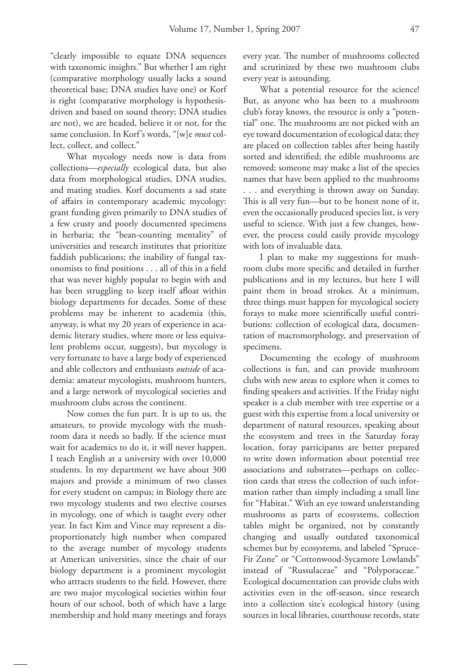"clearly impossible to equate DNA sequences with taxonomic insights." But whether I am right (comparative morphology usually lacks a sound theoretical base; DNA studies have one) or Korf is right (comparative morphology is hypothesisdriven and based on sound theory; DNA studies are not), we are headed, believe it or not, for the same conclusion. In Korf's words, "[w]e *must* collect, collect, and collect."

 What mycology needs now is data from collections—*especially* ecological data, but also data from morphological studies, DNA studies, and mating studies. Korf documents a sad state of affairs in contemporary academic mycology: grant funding given primarily to DNA studies of a few crusty and poorly documented specimens in herbaria; the "bean-counting mentality" of uni versities and research institutes that prioritize faddish publications; the inability of fungal taxonomists to find positions . . . all of this in a field that was never highly popular to begin with and has been struggling to keep itself afloat within biology departments for decades. Some of these problems may be inherent to academia (this, anyway, is what my 20 years of experience in academic literary studies, where more or less equivalent problems occur, suggests), but mycology is very fortunate to have a large body of experienced and able collectors and enthusiasts *outside* of academia: amateur mycologists, mushroom hunters, and a large network of mycological societies and mushroom clubs across the continent.

 Now comes the fun part. It is up to us, the amateurs, to provide mycology with the mushroom data it needs so badly. If the science must wait for academics to do it, it will never happen. I teach English at a university with over 10,000 students. In my department we have about 300 majors and provide a minimum of two classes for every student on campus; in Biology there are two mycology students and two elective courses in mycology, one of which is taught every other year. In fact Kim and Vince may represent a disproportionately high number when compared to the average number of mycology students at American universities, since the chair of our biology department is a prominent mycologist who attracts students to the field. However, there are two major mycological societies within four hours of our school, both of which have a large membership and hold many meetings and forays every year. The number of mushrooms collected and scrutinized by these two mushroom clubs every year is astounding.

What a potential resource for the science! But, as anyone who has been to a mushroom club's foray knows, the resource is only a "potential" one. The mushrooms are not picked with an eye toward documentation of ecological data; they are placed on collection tables after being hastily sorted and identified; the edible mushrooms are removed; someone may make a list of the species names that have been applied to the mushrooms . . . and everything is thrown away on Sunday. This is all very fun—but to be honest none of it, even the occasionally produced species list, is very useful to science. With just a few changes, however, the process could easily provide mycology with lots of invaluable data.

 I plan to make my suggestions for mushroom clubs more specific and detailed in further publications and in my lectures, but here I will paint them in broad strokes. At a minimum, three things must happen for mycological society forays to make more scientifically useful contributions: collection of ecological data, documentation of macromorphology, and preservation of specimens.

 Documenting the ecology of mushroom collections is fun, and can provide mushroom clubs with new areas to explore when it comes to finding speakers and activities. If the Friday night speaker is a club member with tree expertise or a guest with this expertise from a local university or department of natural resources, speaking about the ecosystem and trees in the Saturday foray location, foray participants are better prepared to write down information about potential tree associations and substrates—perhaps on collection cards that stress the collection of such information rather than simply including a small line for "Habitat." With an eye toward understanding mushrooms as parts of ecosystems, collection tables might be organized, not by constantly changing and usually outdated taxonomical schemes but by ecosystems, and labeled "Spruce-Fir Zone" or "Cottonwood-Sycamore Lowlands" instead of "Russulaceae" and "Polyporaceae." Ecological documentation can provide clubs with activities even in the off-season, since research into a collection site's ecological history (using sources in local libraries, courthouse records, state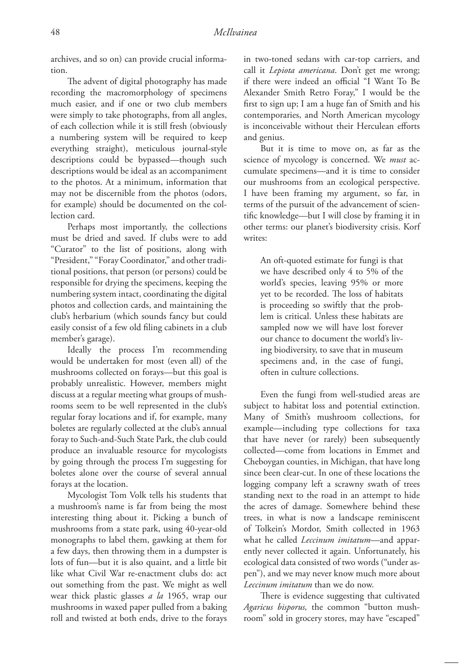archives, and so on) can provide crucial information.

The advent of digital photography has made recording the macromorphology of specimens much easier, and if one or two club members were simply to take photographs, from all angles, of each collection while it is still fresh (obviously a numbering system will be required to keep everything straight), meticulous journal-style descriptions could be bypassed—though such descriptions would be ideal as an accompaniment to the photos. At a minimum, information that may not be discernible from the photos (odors, for example) should be documented on the collection card.

 Perhaps most importantly, the collections must be dried and saved. If clubs were to add "Curator" to the list of positions, along with "President," "Foray Coordinator," and other traditional positions, that person (or persons) could be responsible for drying the specimens, keeping the numbering system intact, coordinating the digital photos and collection cards, and maintaining the club's herbarium (which sounds fancy but could easily consist of a few old filing cabinets in a club member's garage).

 Ideally the process I'm recommending would be undertaken for most (even all) of the mushrooms collected on forays—but this goal is probably unrealistic. However, members might discuss at a regular meeting what groups of mushrooms seem to be well represented in the club's regular foray locations and if, for example, many boletes are regularly collected at the club's annual foray to Such-and-Such State Park, the club could produce an invaluable resource for mycologists by going through the process I'm suggesting for boletes alone over the course of several annual forays at the location.

 Mycologist Tom Volk tells his students that a mushroom's name is far from being the most interesting thing about it. Picking a bunch of mushrooms from a state park, using 40-year-old monographs to label them, gawking at them for a few days, then throwing them in a dumpster is lots of fun—but it is also quaint, and a little bit like what Civil War re-enactment clubs do: act out something from the past. We might as well wear thick plastic glasses *a la* 1965, wrap our mushrooms in waxed paper pulled from a baking roll and twisted at both ends, drive to the forays

in two-toned sedans with car-top carriers, and call it *Lepiota americana*. Don't get me wrong; if there were indeed an official "I Want To Be Alexander Smith Retro Foray," I would be the first to sign up; I am a huge fan of Smith and his contemporaries, and North American mycology is inconceivable without their Herculean efforts and genius.

 But it is time to move on, as far as the science of mycology is concerned. We *must* accumulate specimens—and it is time to consider our mushrooms from an ecological perspective. I have been framing my argument, so far, in terms of the pursuit of the advancement of scientific knowledge—but I will close by framing it in other terms: our planet's biodiversity crisis. Korf writes:

An oft-quoted estimate for fungi is that we have described only 4 to 5% of the world's species, leaving 95% or more yet to be recorded. The loss of habitats is proceeding so swiftly that the problem is critical. Unless these habitats are sampled now we will have lost forever our chance to document the world's living biodiversity, to save that in museum specimens and, in the case of fungi, often in culture collections.

 Even the fungi from well-studied areas are subject to habitat loss and potential extinction. Many of Smith's mushroom collections, for example—including type collections for taxa that have never (or rarely) been subsequently collected—come from locations in Emmet and Cheboygan counties, in Michigan, that have long since been clear-cut. In one of these locations the logging company left a scrawny swath of trees standing next to the road in an attempt to hide the acres of damage. Somewhere behind these trees, in what is now a landscape reminiscent of Tolkein's Mordor, Smith collected in 1963 what he called *Leccinum imitatum*—and apparently never collected it again. Unfortunately, his ecological data consisted of two words ("under aspen"), and we may never know much more about *Leccinum imitatum* than we do now.

There is evidence suggesting that cultivated *Agaricus bisporus,* the common "button mushroom" sold in grocery stores, may have "escaped"